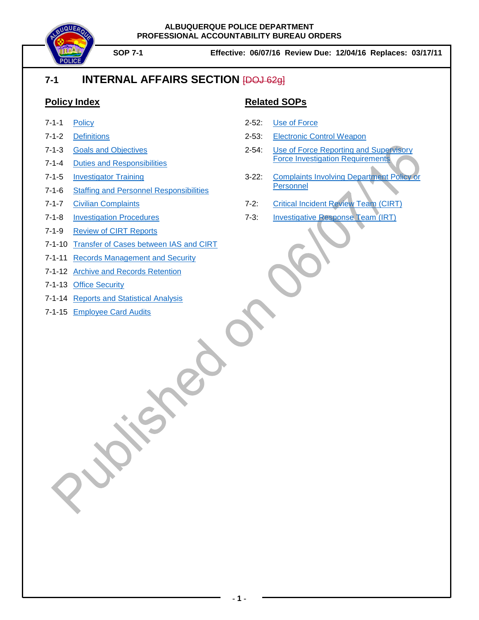

# **7-1 INTERNAL AFFAIRS SECTION** [DOJ 62g]

### **Policy Index**

- 7-1-1 [Policy](#page-1-0)
- 7-1-2 [Definitions](#page-2-0)
- 7-1-3 Goals and [Objectives](#page-5-0)
- 7-1-4 Duties and [Responsibilities](#page-6-0)
- 7-1-5 [Investigator Training](#page-7-0)
- 7-1-6 Staffing and [Personnel Responsibilities](#page-8-0)
- 7-1-7 Civilian [Complaints](#page-13-0)
- 7-1-8 [Investigation Procedures](#page-14-0)
- 7-1-9 [Review of CIRT Reports](#page-19-0)
- 7-1-10 [Transfer of Cases between IAS and CIRT](#page-20-0)
- 7-1-11 [Records Management and Security](#page-21-0)
- 7-1-12 [Archive and Records](#page-23-0) Retention
- 7-1-13 [Office Security](#page-24-0)
- 7-1-14 [Reports and Statistical Analysis](#page-25-0)
- 7-1-15 [Employee Card Audits](#page-28-0)

### **Related SOPs**

- 2-52: [Use of Force](https://powerdms.com/link/IDS/document/?id=135)
- 2-53: [Electronic Control Weapon](https://powerdms.com/link/IDS/document/?id=137)
- 2-54: [Use of Force Reporting and Supervisory](https://powerdms.com/link/IDS/document/?id=755463)  Force Investigation [Requirements](https://powerdms.com/link/IDS/document/?id=755463)
- 3-22: [Complaints Involving Department Policy or](https://powerdms.com/link/IDS/document/?id=184)  [Personnel](https://powerdms.com/link/IDS/document/?id=184)
- 7-2: [Critical Incident Review Team \(CIRT\)](https://powerdms.com/link/IDS/document/?id=863576)
- 7-3: Investigative [Response Team](https://powerdms.com/link/IDS/document/?id=863583) (IRT)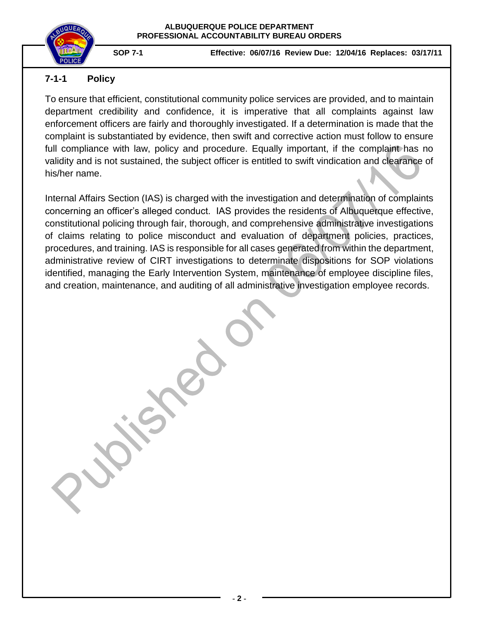

### <span id="page-1-0"></span>**7-1-1 Policy**

To ensure that efficient, constitutional community police services are provided, and to maintain department credibility and confidence, it is imperative that all complaints against law enforcement officers are fairly and thoroughly investigated. If a determination is made that the complaint is substantiated by evidence, then swift and corrective action must follow to ensure full compliance with law, policy and procedure. Equally important, if the complaint has no validity and is not sustained, the subject officer is entitled to swift vindication and clearance of his/her name.

Internal Affairs Section (IAS) is charged with the investigation and determination of complaints concerning an officer's alleged conduct. IAS provides the residents of Albuquerque effective, constitutional policing through fair, thorough, and comprehensive administrative investigations of claims relating to police misconduct and evaluation of department policies, practices, procedures, and training. IAS is responsible for all cases generated from within the department, administrative review of CIRT investigations to determinate dispositions for SOP violations identified, managing the Early Intervention System, maintenance of employee discipline files, and creation, maintenance, and auditing of all administrative investigation employee records.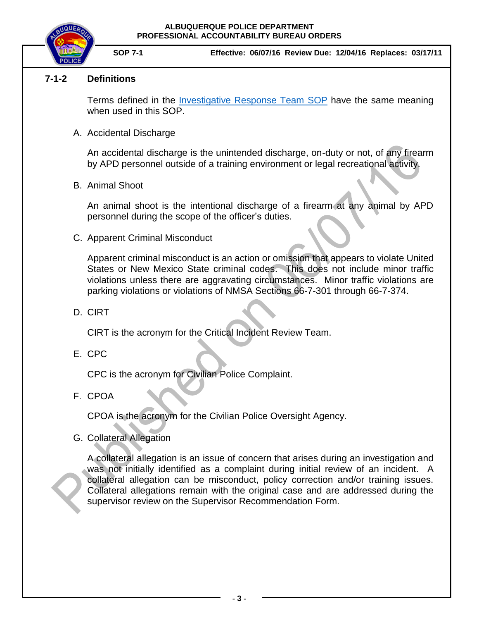

**SOP 7-1 Effective: 06/07/16 Review Due: 12/04/16 Replaces: 03/17/11**

### <span id="page-2-0"></span>**7-1-2 Definitions**

Terms defined in the [Investigative Response Team](https://powerdms.com/link/IDS/document/?id=863583) SOP have the same meaning when used in this SOP.

A. Accidental Discharge

An accidental discharge is the unintended discharge, on-duty or not, of any firearm by APD personnel outside of a training environment or legal recreational activity.

B. Animal Shoot

An animal shoot is the intentional discharge of a firearm at any animal by APD personnel during the scope of the officer's duties.

C. Apparent Criminal Misconduct

Apparent criminal misconduct is an action or omission that appears to violate United States or New Mexico State criminal codes. This does not include minor traffic violations unless there are aggravating circumstances. Minor traffic violations are parking violations or violations of NMSA Sections 66-7-301 through 66-7-374.

D. CIRT

CIRT is the acronym for the Critical Incident Review Team.

E. CPC

CPC is the acronym for Civilian Police Complaint.

F. CPOA

CPOA is the acronym for the Civilian Police Oversight Agency.

G. Collateral Allegation

A collateral allegation is an issue of concern that arises during an investigation and was not initially identified as a complaint during initial review of an incident. A collateral allegation can be misconduct, policy correction and/or training issues. Collateral allegations remain with the original case and are addressed during the supervisor review on the Supervisor Recommendation Form.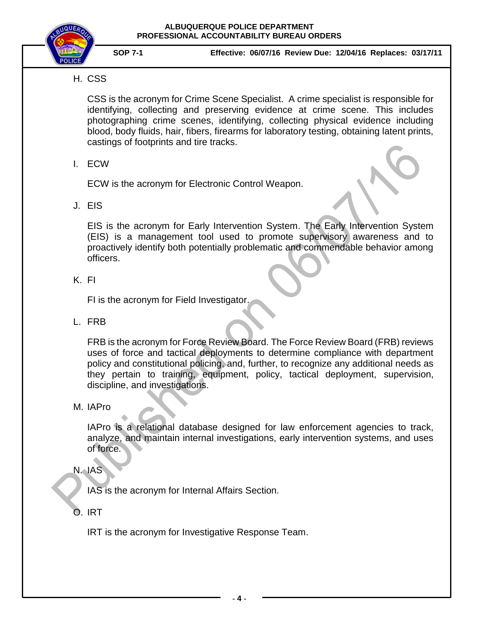

## H. CSS

CSS is the acronym for Crime Scene Specialist. A crime specialist is responsible for identifying, collecting and preserving evidence at crime scene. This includes photographing crime scenes, identifying, collecting physical evidence including blood, body fluids, hair, fibers, firearms for laboratory testing, obtaining latent prints, castings of footprints and tire tracks.

### I. ECW

ECW is the acronym for Electronic Control Weapon.

J. EIS

EIS is the acronym for Early Intervention System. The Early Intervention System (EIS) is a management tool used to promote supervisory awareness and to proactively identify both potentially problematic and commendable behavior among officers.

K. FI

FI is the acronym for Field Investigator.

L. FRB

FRB is the acronym for Force Review Board. The Force Review Board (FRB) reviews uses of force and tactical deployments to determine compliance with department policy and constitutional policing, and, further, to recognize any additional needs as they pertain to training, equipment, policy, tactical deployment, supervision, discipline, and investigations.

### M. IAPro

IAPro is a relational database designed for law enforcement agencies to track, analyze, and maintain internal investigations, early intervention systems, and uses of force.

N. IAS

IAS is the acronym for Internal Affairs Section.

O. IRT

IRT is the acronym for Investigative Response Team.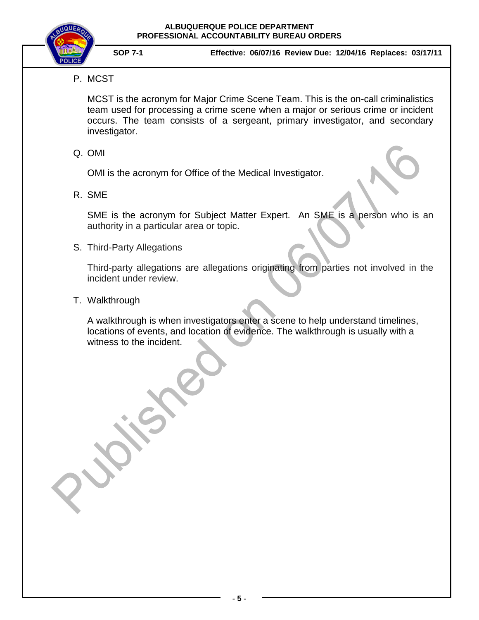

### P. MCST

MCST is the acronym for Major Crime Scene Team. This is the on-call criminalistics team used for processing a crime scene when a major or serious crime or incident occurs. The team consists of a sergeant, primary investigator, and secondary investigator.

### Q. OMI

OMI is the acronym for Office of the Medical Investigator.

R. SME

SME is the acronym for Subject Matter Expert. An SME is a person who is an authority in a particular area or topic.

S. Third-Party Allegations

Third-party allegations are allegations originating from parties not involved in the incident under review.

T. Walkthrough

A walkthrough is when investigators enter a scene to help understand timelines, locations of events, and location of evidence. The walkthrough is usually with a witness to the incident.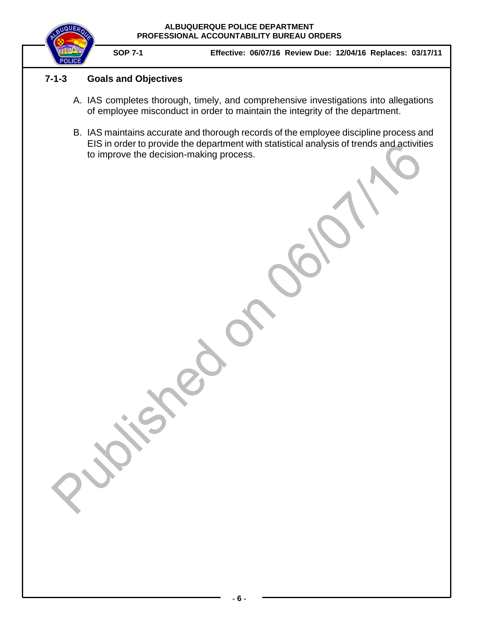

### **7-1-3 Goals and Objectives**

- <span id="page-5-0"></span>A. IAS completes thorough, timely, and comprehensive investigations into allegations of employee misconduct in order to maintain the integrity of the department.
- B. IAS maintains accurate and thorough records of the employee discipline process and EIS in order to provide the department with statistical analysis of trends and activities to improve the decision-making process.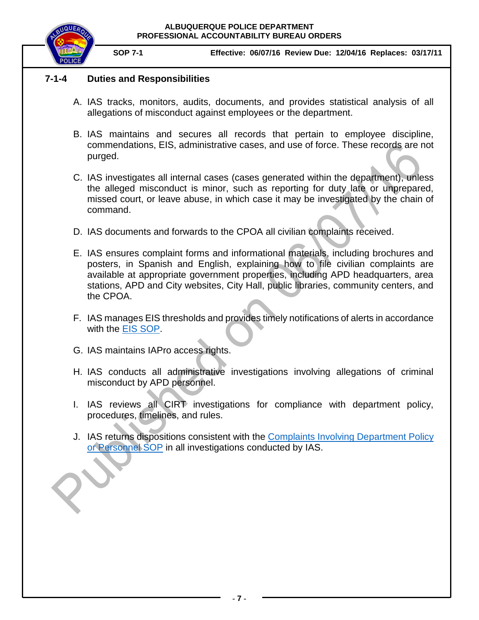

**SOP 7-1 Effective: 06/07/16 Review Due: 12/04/16 Replaces: 03/17/11**

### <span id="page-6-0"></span>**7-1-4 Duties and Responsibilities**

- A. IAS tracks, monitors, audits, documents, and provides statistical analysis of all allegations of misconduct against employees or the department.
- B. IAS maintains and secures all records that pertain to employee discipline, commendations, EIS, administrative cases, and use of force. These records are not purged.
- C. IAS investigates all internal cases (cases generated within the department), unless the alleged misconduct is minor, such as reporting for duty late or unprepared, missed court, or leave abuse, in which case it may be investigated by the chain of command.
- D. IAS documents and forwards to the CPOA all civilian complaints received.
- E. IAS ensures complaint forms and informational materials, including brochures and posters, in Spanish and English, explaining how to file civilian complaints are available at appropriate government properties, including APD headquarters, area stations, APD and City websites, City Hall, public libraries, community centers, and the CPOA.
- F. IAS manages EIS thresholds and provides timely notifications of alerts in accordance with the **EIS SOP**.
- G. IAS maintains IAPro access rights.
- H. IAS conducts all administrative investigations involving allegations of criminal misconduct by APD personnel.
- I. IAS reviews all CIRT investigations for compliance with department policy, procedures, timelines, and rules.
- J. IAS returns dispositions consistent with the [Complaints Involving Department Policy](https://powerdms.com/link/IDS/document/?id=184)  [or Personnel](https://powerdms.com/link/IDS/document/?id=184) SOP in all investigations conducted by IAS.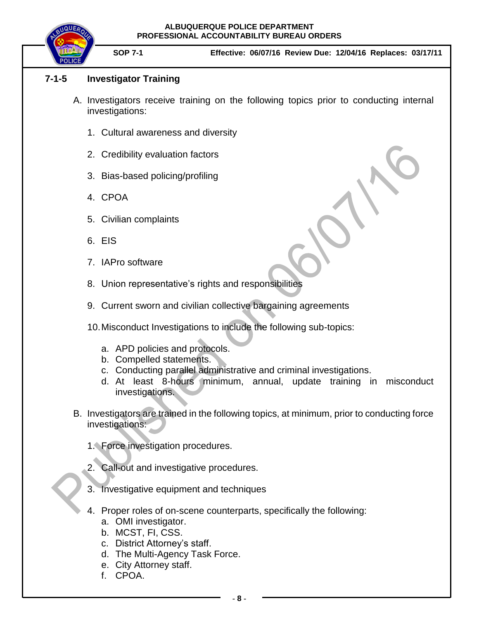

**SOP 7-1 Effective: 06/07/16 Review Due: 12/04/16 Replaces: 03/17/11**

### **7-1-5 Investigator Training**

- <span id="page-7-0"></span>A. Investigators receive training on the following topics prior to conducting internal investigations:
	- 1. Cultural awareness and diversity
	- 2. Credibility evaluation factors
	- 3. Bias-based policing/profiling
	- 4. CPOA
	- 5. Civilian complaints
	- 6. EIS
	- 7. IAPro software
	- 8. Union representative's rights and responsibilities
	- 9. Current sworn and civilian collective bargaining agreements
	- 10.Misconduct Investigations to include the following sub-topics:
		- a. APD policies and protocols.
		- b. Compelled statements.
		- c. Conducting parallel administrative and criminal investigations.
		- d. At least 8-hours minimum, annual, update training in misconduct investigations.
- B. Investigators are trained in the following topics, at minimum, prior to conducting force investigations:
	- 1. Force investigation procedures.
	- 2. Call-out and investigative procedures.
	- 3. Investigative equipment and techniques
	- 4. Proper roles of on-scene counterparts, specifically the following:
		- a. OMI investigator.
		- b. MCST, FI, CSS.
		- c. District Attorney's staff.
		- d. The Multi-Agency Task Force.
		- e. City Attorney staff.
		- f. CPOA.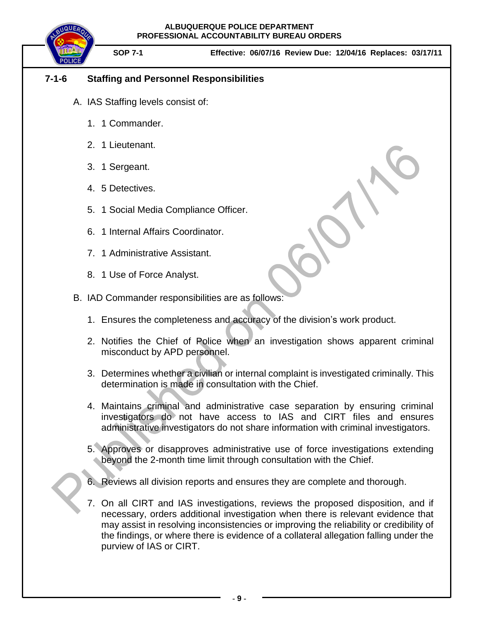**SOP 7-1 Effective: 06/07/16 Review Due: 12/04/16 Replaces: 03/17/11**

### **7-1-6 Staffing and Personnel Responsibilities**

- <span id="page-8-0"></span>A. IAS Staffing levels consist of:
	- 1. 1 Commander.
	- 2. 1 Lieutenant.
	- 3. 1 Sergeant.
	- 4. 5 Detectives.
	- 5. 1 Social Media Compliance Officer.
	- 6. 1 Internal Affairs Coordinator.
	- 7. 1 Administrative Assistant.
	- 8. 1 Use of Force Analyst.
- B. IAD Commander responsibilities are as follows:
	- 1. Ensures the completeness and accuracy of the division's work product.
	- 2. Notifies the Chief of Police when an investigation shows apparent criminal misconduct by APD personnel.
	- 3. Determines whether a civilian or internal complaint is investigated criminally. This determination is made in consultation with the Chief.
	- 4. Maintains criminal and administrative case separation by ensuring criminal investigators do not have access to IAS and CIRT files and ensures administrative investigators do not share information with criminal investigators.
	- 5. Approves or disapproves administrative use of force investigations extending beyond the 2-month time limit through consultation with the Chief.
	- 6. Reviews all division reports and ensures they are complete and thorough.
	- 7. On all CIRT and IAS investigations, reviews the proposed disposition, and if necessary, orders additional investigation when there is relevant evidence that may assist in resolving inconsistencies or improving the reliability or credibility of the findings, or where there is evidence of a collateral allegation falling under the purview of IAS or CIRT.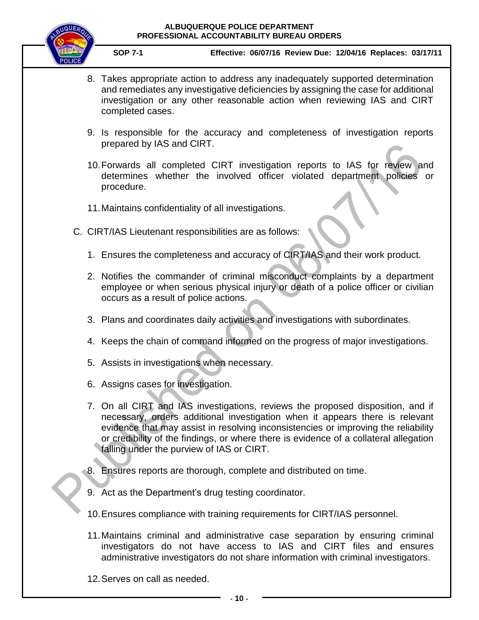

- 8. Takes appropriate action to address any inadequately supported determination and remediates any investigative deficiencies by assigning the case for additional investigation or any other reasonable action when reviewing IAS and CIRT completed cases.
- 9. Is responsible for the accuracy and completeness of investigation reports prepared by IAS and CIRT.
- 10.Forwards all completed CIRT investigation reports to IAS for review and determines whether the involved officer violated department policies or procedure.
- 11.Maintains confidentiality of all investigations.
- C. CIRT/IAS Lieutenant responsibilities are as follows:
	- 1. Ensures the completeness and accuracy of CIRT/IAS and their work product.
	- 2. Notifies the commander of criminal misconduct complaints by a department employee or when serious physical injury or death of a police officer or civilian occurs as a result of police actions.
	- 3. Plans and coordinates daily activities and investigations with subordinates.
	- 4. Keeps the chain of command informed on the progress of major investigations.
	- 5. Assists in investigations when necessary.
	- 6. Assigns cases for investigation.
	- 7. On all CIRT and IAS investigations, reviews the proposed disposition, and if necessary, orders additional investigation when it appears there is relevant evidence that may assist in resolving inconsistencies or improving the reliability or credibility of the findings, or where there is evidence of a collateral allegation falling under the purview of IAS or CIRT.
	- 8. Ensures reports are thorough, complete and distributed on time.
	- 9. Act as the Department's drug testing coordinator.
	- 10.Ensures compliance with training requirements for CIRT/IAS personnel.
	- 11.Maintains criminal and administrative case separation by ensuring criminal investigators do not have access to IAS and CIRT files and ensures administrative investigators do not share information with criminal investigators.
	- 12.Serves on call as needed.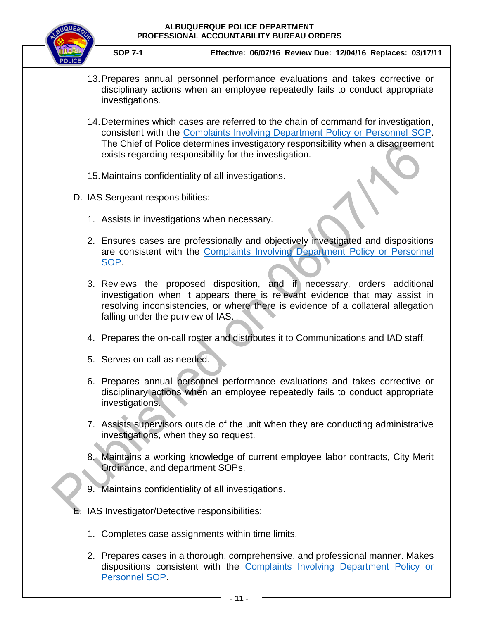

- 13.Prepares annual personnel performance evaluations and takes corrective or disciplinary actions when an employee repeatedly fails to conduct appropriate investigations.
- 14.Determines which cases are referred to the chain of command for investigation, consistent with the [Complaints Involving Department Policy or Personnel](https://powerdms.com/link/IDS/document/?id=184) SOP. The Chief of Police determines investigatory responsibility when a disagreement exists regarding responsibility for the investigation.
- 15.Maintains confidentiality of all investigations.
- D. IAS Sergeant responsibilities:
	- 1. Assists in investigations when necessary.
	- 2. Ensures cases are professionally and objectively investigated and dispositions are consistent with the [Complaints Involving Department Policy or Personnel](https://powerdms.com/link/IDS/document/?id=184) [SOP.](https://powerdms.com/link/IDS/document/?id=184)
	- 3. Reviews the proposed disposition, and if necessary, orders additional investigation when it appears there is relevant evidence that may assist in resolving inconsistencies, or where there is evidence of a collateral allegation falling under the purview of IAS.
	- 4. Prepares the on-call roster and distributes it to Communications and IAD staff.
	- 5. Serves on-call as needed.
	- 6. Prepares annual personnel performance evaluations and takes corrective or disciplinary actions when an employee repeatedly fails to conduct appropriate investigations.
	- 7. Assists supervisors outside of the unit when they are conducting administrative investigations, when they so request.
	- 8. Maintains a working knowledge of current employee labor contracts, City Merit Ordinance, and department SOPs.
	- 9. Maintains confidentiality of all investigations.
- E. IAS Investigator/Detective responsibilities:
	- 1. Completes case assignments within time limits.
	- 2. Prepares cases in a thorough, comprehensive, and professional manner. Makes dispositions consistent with the [Complaints Involving Department Policy or](https://powerdms.com/link/IDS/document/?id=184)  [Personnel](https://powerdms.com/link/IDS/document/?id=184) SOP.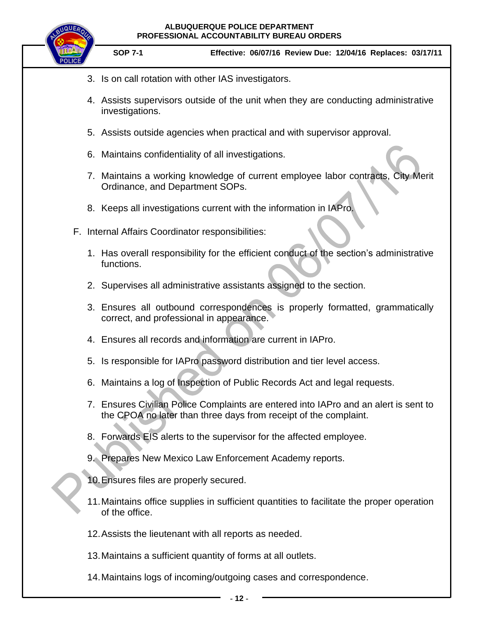

- 3. Is on call rotation with other IAS investigators.
- 4. Assists supervisors outside of the unit when they are conducting administrative investigations.
- 5. Assists outside agencies when practical and with supervisor approval.
- 6. Maintains confidentiality of all investigations.
- 7. Maintains a working knowledge of current employee labor contracts, City Merit Ordinance, and Department SOPs.
- 8. Keeps all investigations current with the information in IAPro.
- F. Internal Affairs Coordinator responsibilities:
	- 1. Has overall responsibility for the efficient conduct of the section's administrative functions.
	- 2. Supervises all administrative assistants assigned to the section.
	- 3. Ensures all outbound correspondences is properly formatted, grammatically correct, and professional in appearance.
	- 4. Ensures all records and information are current in IAPro.
	- 5. Is responsible for IAPro password distribution and tier level access.
	- 6. Maintains a log of Inspection of Public Records Act and legal requests.
	- 7. Ensures Civilian Police Complaints are entered into IAPro and an alert is sent to the CPOA no later than three days from receipt of the complaint.
	- 8. Forwards EIS alerts to the supervisor for the affected employee.
	- 9. Prepares New Mexico Law Enforcement Academy reports.
	- 10.Ensures files are properly secured.
	- 11.Maintains office supplies in sufficient quantities to facilitate the proper operation of the office.
	- 12.Assists the lieutenant with all reports as needed.
	- 13.Maintains a sufficient quantity of forms at all outlets.
	- 14.Maintains logs of incoming/outgoing cases and correspondence.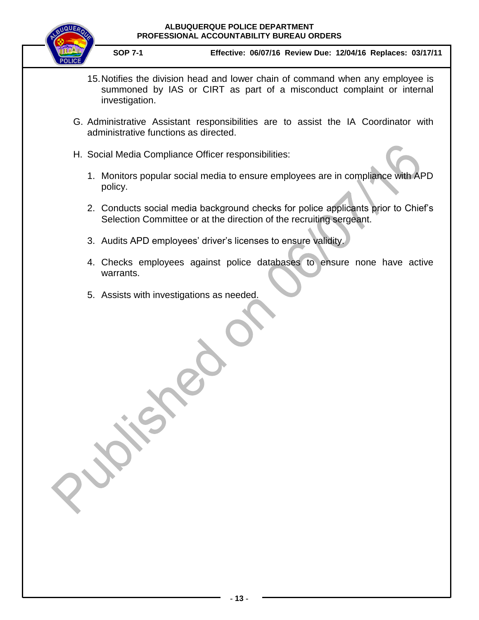

- 15.Notifies the division head and lower chain of command when any employee is summoned by IAS or CIRT as part of a misconduct complaint or internal investigation.
- G. Administrative Assistant responsibilities are to assist the IA Coordinator with administrative functions as directed.
- H. Social Media Compliance Officer responsibilities:
	- 1. Monitors popular social media to ensure employees are in compliance with APD policy.
	- 2. Conducts social media background checks for police applicants prior to Chief's Selection Committee or at the direction of the recruiting sergeant.
	- 3. Audits APD employees' driver's licenses to ensure validity.
	- 4. Checks employees against police databases to ensure none have active warrants.
	- 5. Assists with investigations as needed.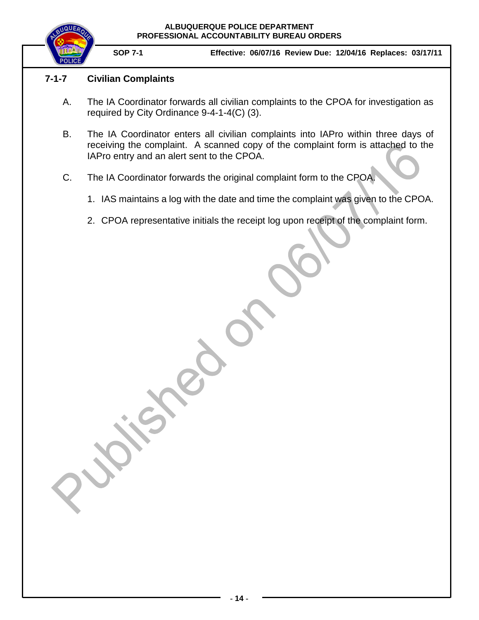

**SOP 7-1 Effective: 06/07/16 Review Due: 12/04/16 Replaces: 03/17/11**

### <span id="page-13-0"></span>**7-1-7 Civilian Complaints**

- A. The IA Coordinator forwards all civilian complaints to the CPOA for investigation as required by City Ordinance 9-4-1-4(C) (3).
- B. The IA Coordinator enters all civilian complaints into IAPro within three days of receiving the complaint. A scanned copy of the complaint form is attached to the IAPro entry and an alert sent to the CPOA.
- C. The IA Coordinator forwards the original complaint form to the CPOA.
	- 1. IAS maintains a log with the date and time the complaint was given to the CPOA.
	- 2. CPOA representative initials the receipt log upon receipt of the complaint form.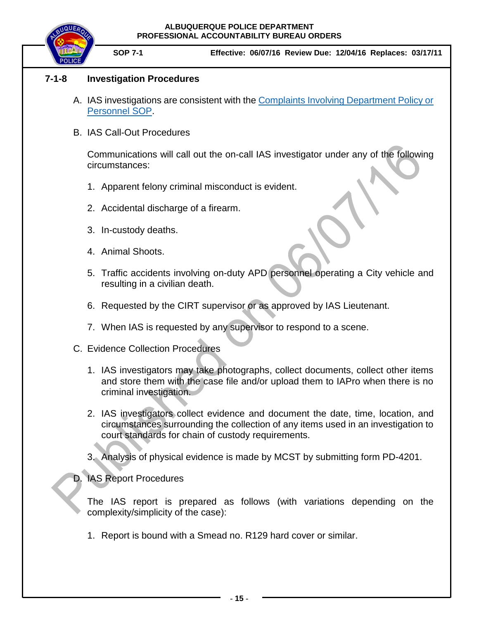

### <span id="page-14-0"></span>**7-1-8 Investigation Procedures**

- A. IAS investigations are consistent with the [Complaints Involving Department Policy or](https://powerdms.com/link/IDS/document/?id=184)  [Personnel](https://powerdms.com/link/IDS/document/?id=184) SOP.
- B. IAS Call-Out Procedures

Communications will call out the on-call IAS investigator under any of the following circumstances:

- 1. Apparent felony criminal misconduct is evident.
- 2. Accidental discharge of a firearm.
- 3. In-custody deaths.
- 4. Animal Shoots.
- 5. Traffic accidents involving on-duty APD personnel operating a City vehicle and resulting in a civilian death.
- 6. Requested by the CIRT supervisor or as approved by IAS Lieutenant.
- 7. When IAS is requested by any supervisor to respond to a scene.
- C. Evidence Collection Procedures
	- 1. IAS investigators may take photographs, collect documents, collect other items and store them with the case file and/or upload them to IAPro when there is no criminal investigation.
	- 2. IAS investigators collect evidence and document the date, time, location, and circumstances surrounding the collection of any items used in an investigation to court standards for chain of custody requirements.
	- 3. Analysis of physical evidence is made by MCST by submitting form PD-4201.

D. IAS Report Procedures

The IAS report is prepared as follows (with variations depending on the complexity/simplicity of the case):

1. Report is bound with a Smead no. R129 hard cover or similar.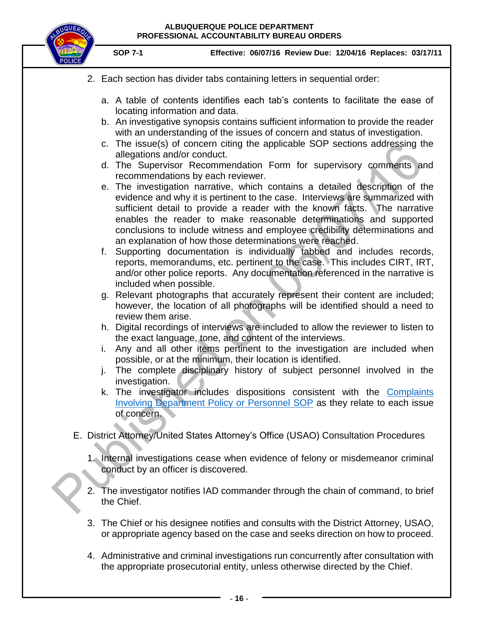

- 2. Each section has divider tabs containing letters in sequential order:
	- a. A table of contents identifies each tab's contents to facilitate the ease of locating information and data.
	- b. An investigative synopsis contains sufficient information to provide the reader with an understanding of the issues of concern and status of investigation.
	- c. The issue(s) of concern citing the applicable SOP sections addressing the allegations and/or conduct.
	- d. The Supervisor Recommendation Form for supervisory comments and recommendations by each reviewer.
	- e. The investigation narrative, which contains a detailed description of the evidence and why it is pertinent to the case. Interviews are summarized with sufficient detail to provide a reader with the known facts. The narrative enables the reader to make reasonable determinations and supported conclusions to include witness and employee credibility determinations and an explanation of how those determinations were reached.
	- f. Supporting documentation is individually tabbed and includes records, reports, memorandums, etc. pertinent to the case. This includes CIRT, IRT, and/or other police reports. Any documentation referenced in the narrative is included when possible.
	- g. Relevant photographs that accurately represent their content are included; however, the location of all photographs will be identified should a need to review them arise.
	- h. Digital recordings of interviews are included to allow the reviewer to listen to the exact language, tone, and content of the interviews.
	- i. Any and all other items pertinent to the investigation are included when possible, or at the minimum, their location is identified.
	- j. The complete disciplinary history of subject personnel involved in the investigation.
	- k. The investigator includes dispositions consistent with the [Complaints](https://powerdms.com/link/IDS/document/?id=184)  [Involving Department Policy or Personnel](https://powerdms.com/link/IDS/document/?id=184) SOP as they relate to each issue of concern.
- E. District Attorney/United States Attorney's Office (USAO) Consultation Procedures
	- 1. Internal investigations cease when evidence of felony or misdemeanor criminal conduct by an officer is discovered.
	- 2. The investigator notifies IAD commander through the chain of command, to brief the Chief.
	- 3. The Chief or his designee notifies and consults with the District Attorney, USAO, or appropriate agency based on the case and seeks direction on how to proceed.
	- 4. Administrative and criminal investigations run concurrently after consultation with the appropriate prosecutorial entity, unless otherwise directed by the Chief.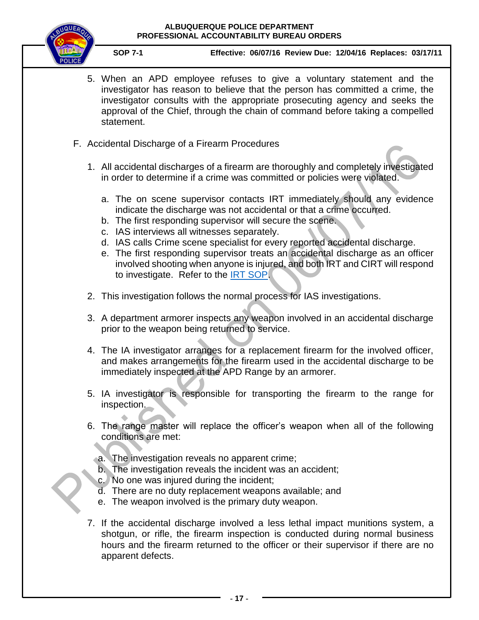

- 5. When an APD employee refuses to give a voluntary statement and the investigator has reason to believe that the person has committed a crime, the investigator consults with the appropriate prosecuting agency and seeks the approval of the Chief, through the chain of command before taking a compelled statement.
- F. Accidental Discharge of a Firearm Procedures
	- 1. All accidental discharges of a firearm are thoroughly and completely investigated in order to determine if a crime was committed or policies were violated.
		- a. The on scene supervisor contacts IRT immediately should any evidence indicate the discharge was not accidental or that a crime occurred.
		- b. The first responding supervisor will secure the scene.
		- c. IAS interviews all witnesses separately.
		- d. IAS calls Crime scene specialist for every reported accidental discharge.
		- e. The first responding supervisor treats an accidental discharge as an officer involved shooting when anyone is injured, and both IRT and CIRT will respond to investigate. Refer to the [IRT SOP.](https://powerdms.com/link/IDS/document/?id=863583)
	- 2. This investigation follows the normal process for IAS investigations.
	- 3. A department armorer inspects any weapon involved in an accidental discharge prior to the weapon being returned to service.
	- 4. The IA investigator arranges for a replacement firearm for the involved officer, and makes arrangements for the firearm used in the accidental discharge to be immediately inspected at the APD Range by an armorer.
	- 5. IA investigator is responsible for transporting the firearm to the range for inspection.
	- 6. The range master will replace the officer's weapon when all of the following conditions are met:
		- a. The investigation reveals no apparent crime;
		- b. The investigation reveals the incident was an accident;
		- c. No one was injured during the incident;
		- d. There are no duty replacement weapons available; and
		- e. The weapon involved is the primary duty weapon.
	- 7. If the accidental discharge involved a less lethal impact munitions system, a shotgun, or rifle, the firearm inspection is conducted during normal business hours and the firearm returned to the officer or their supervisor if there are no apparent defects.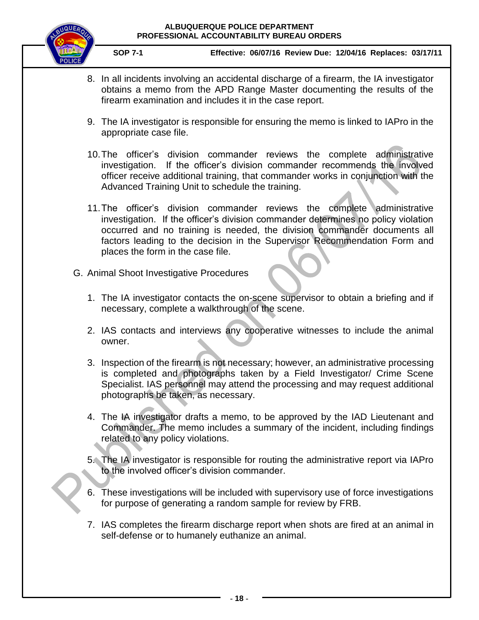

- 8. In all incidents involving an accidental discharge of a firearm, the IA investigator obtains a memo from the APD Range Master documenting the results of the firearm examination and includes it in the case report.
- 9. The IA investigator is responsible for ensuring the memo is linked to IAPro in the appropriate case file.
- 10.The officer's division commander reviews the complete administrative investigation. If the officer's division commander recommends the involved officer receive additional training, that commander works in conjunction with the Advanced Training Unit to schedule the training.
- 11.The officer's division commander reviews the complete administrative investigation. If the officer's division commander determines no policy violation occurred and no training is needed, the division commander documents all factors leading to the decision in the Supervisor Recommendation Form and places the form in the case file.
- G. Animal Shoot Investigative Procedures
	- 1. The IA investigator contacts the on-scene supervisor to obtain a briefing and if necessary, complete a walkthrough of the scene.
	- 2. IAS contacts and interviews any cooperative witnesses to include the animal owner.
	- 3. Inspection of the firearm is not necessary; however, an administrative processing is completed and photographs taken by a Field Investigator/ Crime Scene Specialist. IAS personnel may attend the processing and may request additional photographs be taken, as necessary.
	- 4. The IA investigator drafts a memo, to be approved by the IAD Lieutenant and Commander. The memo includes a summary of the incident, including findings related to any policy violations.
	- 5. The IA investigator is responsible for routing the administrative report via IAPro to the involved officer's division commander.
	- 6. These investigations will be included with supervisory use of force investigations for purpose of generating a random sample for review by FRB.
	- 7. IAS completes the firearm discharge report when shots are fired at an animal in self-defense or to humanely euthanize an animal.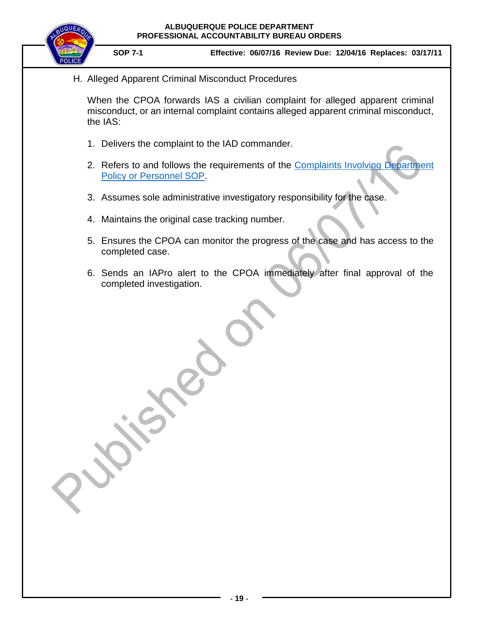

H. Alleged Apparent Criminal Misconduct Procedures

When the CPOA forwards IAS a civilian complaint for alleged apparent criminal misconduct, or an internal complaint contains alleged apparent criminal misconduct, the IAS:

- 1. Delivers the complaint to the IAD commander.
- 2. Refers to and follows the requirements of the Complaints Involving Department [Policy or Personnel](https://powerdms.com/link/IDS/document/?id=184) SOP.
- 3. Assumes sole administrative investigatory responsibility for the case.
- 4. Maintains the original case tracking number.
- 5. Ensures the CPOA can monitor the progress of the case and has access to the completed case.
- 6. Sends an IAPro alert to the CPOA immediately after final approval of the completed investigation.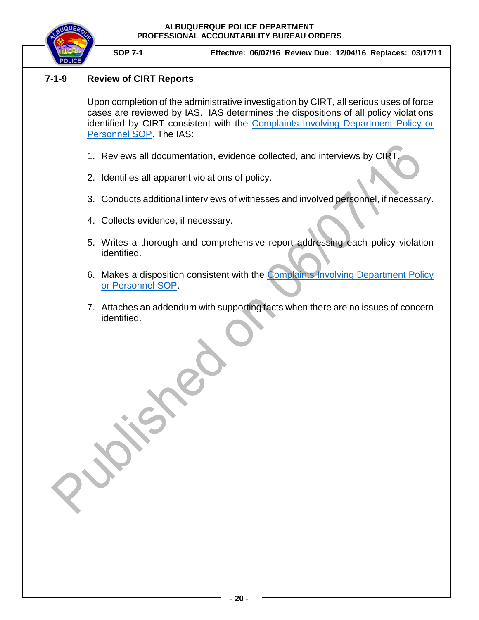



### <span id="page-19-0"></span>**7-1-9 Review of CIRT Reports**

Upon completion of the administrative investigation by CIRT, all serious uses of force cases are reviewed by IAS. IAS determines the dispositions of all policy violations identified by CIRT consistent with the [Complaints Involving Department Policy or](https://powerdms.com/link/IDS/document/?id=184)  [Personnel SOP.](https://powerdms.com/link/IDS/document/?id=184) The IAS:

- 1. Reviews all documentation, evidence collected, and interviews by CIRT.
- 2. Identifies all apparent violations of policy.
- 3. Conducts additional interviews of witnesses and involved personnel, if necessary.
- 4. Collects evidence, if necessary.
- 5. Writes a thorough and comprehensive report addressing each policy violation identified.
- 6. Makes a disposition consistent with the **[Complaints Involving](https://powerdms.com/link/IDS/document/?id=184) Department Policy** [or Personnel](https://powerdms.com/link/IDS/document/?id=184) SOP.
- 7. Attaches an addendum with supporting facts when there are no issues of concern identified.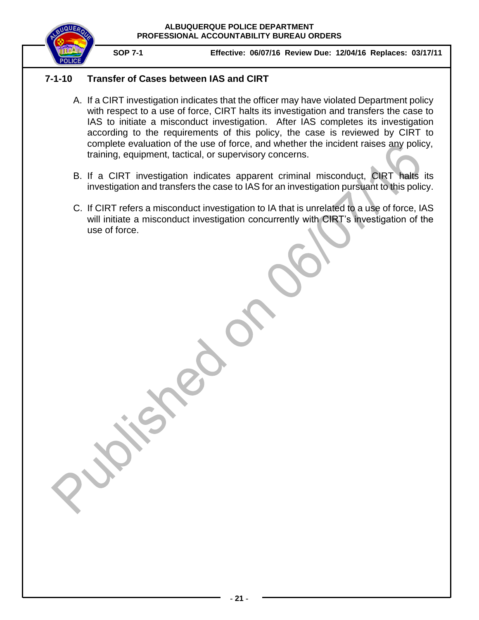

### **7-1-10 Transfer of Cases between IAS and CIRT**

- <span id="page-20-0"></span>A. If a CIRT investigation indicates that the officer may have violated Department policy with respect to a use of force, CIRT halts its investigation and transfers the case to IAS to initiate a misconduct investigation. After IAS completes its investigation according to the requirements of this policy, the case is reviewed by CIRT to complete evaluation of the use of force, and whether the incident raises any policy, training, equipment, tactical, or supervisory concerns.
- B. If a CIRT investigation indicates apparent criminal misconduct, CIRT halts its investigation and transfers the case to IAS for an investigation pursuant to this policy.
- C. If CIRT refers a misconduct investigation to IA that is unrelated to a use of force, IAS will initiate a misconduct investigation concurrently with CIRT's investigation of the use of force.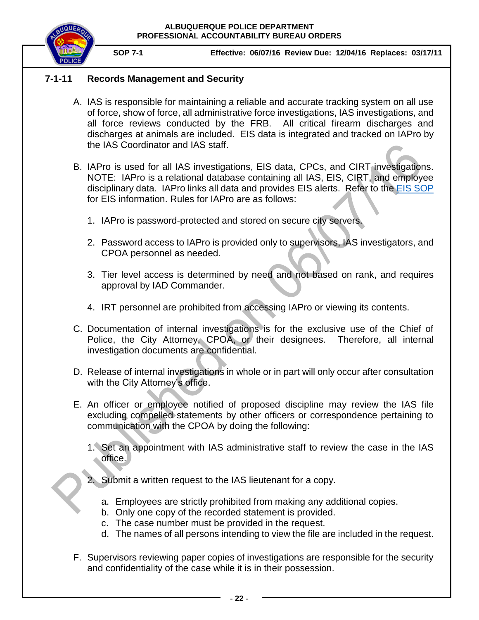

### <span id="page-21-0"></span>**7-1-11 Records Management and Security**

- A. IAS is responsible for maintaining a reliable and accurate tracking system on all use of force, show of force, all administrative force investigations, IAS investigations, and all force reviews conducted by the FRB. All critical firearm discharges and discharges at animals are included. EIS data is integrated and tracked on IAPro by the IAS Coordinator and IAS staff.
- B. IAPro is used for all IAS investigations, EIS data, CPCs, and CIRT investigations. NOTE: IAPro is a relational database containing all IAS, EIS, CIRT, and employee disciplinary data. IAPro links all data and provides EIS alerts. Refer to the [EIS SOP](https://powerdms.com/link/IDS/document/?id=190) for EIS information. Rules for IAPro are as follows:
	- 1. IAPro is password-protected and stored on secure city servers.
	- 2. Password access to IAPro is provided only to supervisors, IAS investigators, and CPOA personnel as needed.
	- 3. Tier level access is determined by need and not based on rank, and requires approval by IAD Commander.
	- 4. IRT personnel are prohibited from accessing IAPro or viewing its contents.
- C. Documentation of internal investigations is for the exclusive use of the Chief of Police, the City Attorney, CPOA, or their designees. Therefore, all internal investigation documents are confidential.
- D. Release of internal investigations in whole or in part will only occur after consultation with the City Attorney's office.
- E. An officer or employee notified of proposed discipline may review the IAS file excluding compelled statements by other officers or correspondence pertaining to communication with the CPOA by doing the following:
	- 1. Set an appointment with IAS administrative staff to review the case in the IAS office.
	- 2. Submit a written request to the IAS lieutenant for a copy.
		- a. Employees are strictly prohibited from making any additional copies.
		- b. Only one copy of the recorded statement is provided.
		- c. The case number must be provided in the request.
		- d. The names of all persons intending to view the file are included in the request.
- F. Supervisors reviewing paper copies of investigations are responsible for the security and confidentiality of the case while it is in their possession.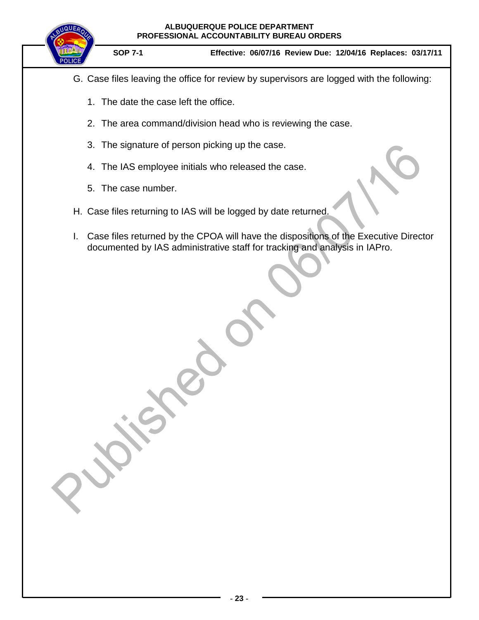# **ALBUQUERQUE POLICE DEPARTMENT PROFESSIONAL ACCOUNTABILITY BUREAU ORDERS SOP 7-1 Effective: 06/07/16 Review Due: 12/04/16 Replaces: 03/17/11**

- G. Case files leaving the office for review by supervisors are logged with the following:
	- 1. The date the case left the office.
	- 2. The area command/division head who is reviewing the case.
	- 3. The signature of person picking up the case.
	- 4. The IAS employee initials who released the case.
	- 5. The case number.
- H. Case files returning to IAS will be logged by date returned.
- I. Case files returned by the CPOA will have the dispositions of the Executive Director documented by IAS administrative staff for tracking and analysis in IAPro.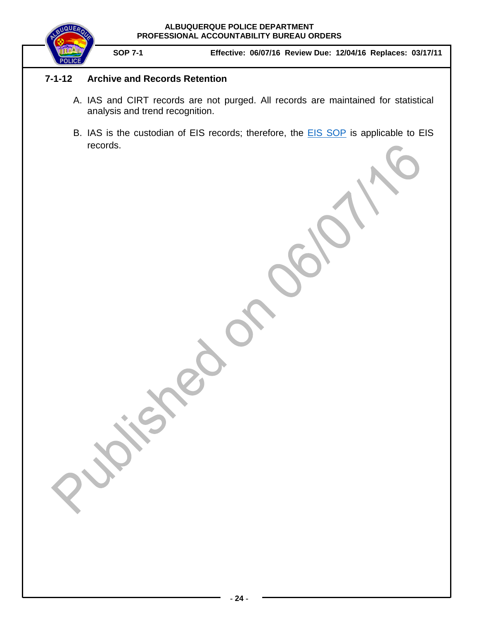

### **7-1-12 Archive and Records Retention**

- <span id="page-23-0"></span>A. IAS and CIRT records are not purged. All records are maintained for statistical analysis and trend recognition.
- B. IAS is the custodian of EIS records; therefore, the **EIS SOP** is applicable to EIS records.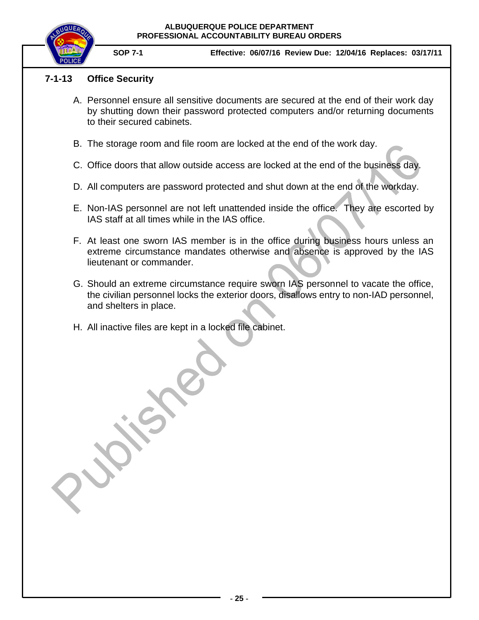

**SOP 7-1 Effective: 06/07/16 Review Due: 12/04/16 Replaces: 03/17/11**

### <span id="page-24-0"></span>**7-1-13 Office Security**

- A. Personnel ensure all sensitive documents are secured at the end of their work day by shutting down their password protected computers and/or returning documents to their secured cabinets.
- B. The storage room and file room are locked at the end of the work day.
- C. Office doors that allow outside access are locked at the end of the business day.
- D. All computers are password protected and shut down at the end of the workday.
- E. Non-IAS personnel are not left unattended inside the office. They are escorted by IAS staff at all times while in the IAS office.
- F. At least one sworn IAS member is in the office during business hours unless an extreme circumstance mandates otherwise and absence is approved by the IAS lieutenant or commander.
- G. Should an extreme circumstance require sworn IAS personnel to vacate the office, the civilian personnel locks the exterior doors, disallows entry to non-IAD personnel, and shelters in place.
- H. All inactive files are kept in a locked file cabinet.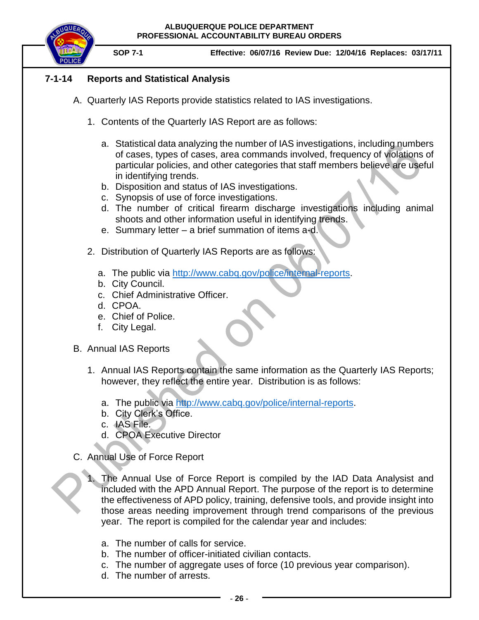

**SOP 7-1 Effective: 06/07/16 Review Due: 12/04/16 Replaces: 03/17/11**

### <span id="page-25-0"></span>**7-1-14 Reports and Statistical Analysis**

- A. Quarterly IAS Reports provide statistics related to IAS investigations.
	- 1. Contents of the Quarterly IAS Report are as follows:
		- a. Statistical data analyzing the number of IAS investigations, including numbers of cases, types of cases, area commands involved, frequency of violations of particular policies, and other categories that staff members believe are useful in identifying trends.
		- b. Disposition and status of IAS investigations.
		- c. Synopsis of use of force investigations.
		- d. The number of critical firearm discharge investigations including animal shoots and other information useful in identifying trends.
		- e. Summary letter a brief summation of items a-d.
	- 2. Distribution of Quarterly IAS Reports are as follows:
		- a. The public via [http://www.cabq.gov/police/internal-reports.](http://www.cabq.gov/police/internal-reports)
		- b. City Council.
		- c. Chief Administrative Officer.
		- d. CPOA.
		- e. Chief of Police.
		- f. City Legal.

### B. Annual IAS Reports

- 1. Annual IAS Reports contain the same information as the Quarterly IAS Reports; however, they reflect the entire year. Distribution is as follows:
	- a. The public via [http://www.cabq.gov/police/internal-reports.](http://www.cabq.gov/police/internal-reports)
	- b. City Clerk's Office.
	- c. IAS File.
	- d. CPOA Executive Director
- C. Annual Use of Force Report
	- The Annual Use of Force Report is compiled by the IAD Data Analysist and included with the APD Annual Report. The purpose of the report is to determine the effectiveness of APD policy, training, defensive tools, and provide insight into those areas needing improvement through trend comparisons of the previous year. The report is compiled for the calendar year and includes:
		- a. The number of calls for service.
		- b. The number of officer-initiated civilian contacts.
	- c. The number of aggregate uses of force (10 previous year comparison).
	- d. The number of arrests.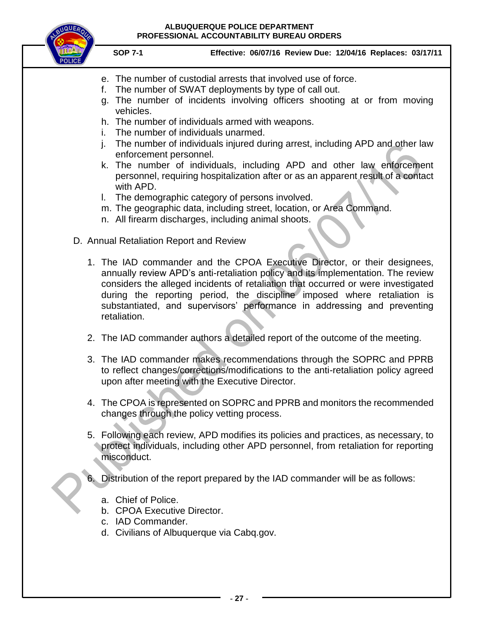

- e. The number of custodial arrests that involved use of force.
- f. The number of SWAT deployments by type of call out.
- g. The number of incidents involving officers shooting at or from moving vehicles.
- h. The number of individuals armed with weapons.
- i. The number of individuals unarmed.
- j. The number of individuals injured during arrest, including APD and other law enforcement personnel.
- k. The number of individuals, including APD and other law enforcement personnel, requiring hospitalization after or as an apparent result of a contact with APD.
- l. The demographic category of persons involved.
- m. The geographic data, including street, location, or Area Command.
- n. All firearm discharges, including animal shoots.
- D. Annual Retaliation Report and Review
	- 1. The IAD commander and the CPOA Executive Director, or their designees, annually review APD's anti-retaliation policy and its implementation. The review considers the alleged incidents of retaliation that occurred or were investigated during the reporting period, the discipline imposed where retaliation is substantiated, and supervisors' performance in addressing and preventing retaliation.
	- 2. The IAD commander authors a detailed report of the outcome of the meeting.
	- 3. The IAD commander makes recommendations through the SOPRC and PPRB to reflect changes/corrections/modifications to the anti-retaliation policy agreed upon after meeting with the Executive Director.
	- 4. The CPOA is represented on SOPRC and PPRB and monitors the recommended changes through the policy vetting process.
	- 5. Following each review, APD modifies its policies and practices, as necessary, to protect individuals, including other APD personnel, from retaliation for reporting misconduct.
	- 6. Distribution of the report prepared by the IAD commander will be as follows:
		- a. Chief of Police.
		- b. CPOA Executive Director.
		- c. IAD Commander.
		- d. Civilians of Albuquerque via Cabq.gov.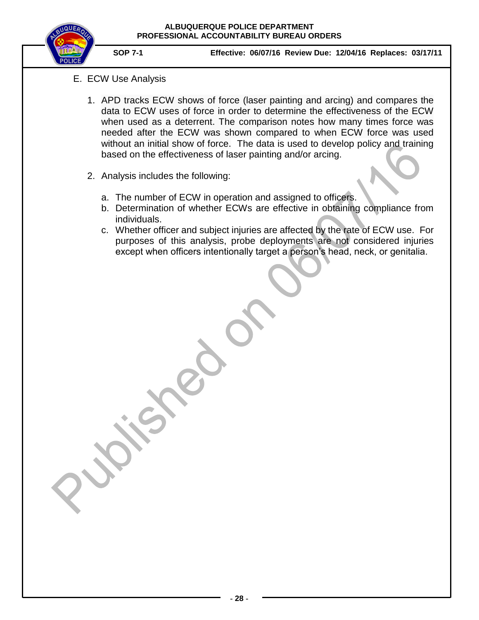

- E. ECW Use Analysis
	- 1. APD tracks ECW shows of force (laser painting and arcing) and compares the data to ECW uses of force in order to determine the effectiveness of the ECW when used as a deterrent. The comparison notes how many times force was needed after the ECW was shown compared to when ECW force was used without an initial show of force. The data is used to develop policy and training based on the effectiveness of laser painting and/or arcing.
	- 2. Analysis includes the following:
		- a. The number of ECW in operation and assigned to officers.
		- b. Determination of whether ECWs are effective in obtaining compliance from individuals.
		- c. Whether officer and subject injuries are affected by the rate of ECW use. For purposes of this analysis, probe deployments are not considered injuries except when officers intentionally target a person's head, neck, or genitalia.